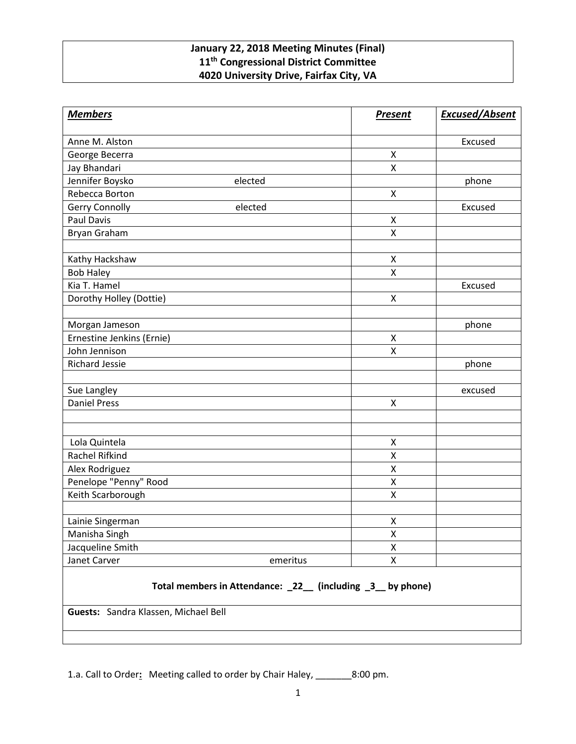## **January 22, 2018 Meeting Minutes (Final) 11th Congressional District Committee 4020 University Drive, Fairfax City, VA**

| <b>Members</b>                                                                                     | <b>Present</b>     | <b>Excused/Absent</b> |
|----------------------------------------------------------------------------------------------------|--------------------|-----------------------|
| Anne M. Alston                                                                                     |                    | Excused               |
| George Becerra                                                                                     | X                  |                       |
| Jay Bhandari                                                                                       | $\pmb{\mathsf{X}}$ |                       |
| Jennifer Boysko<br>elected                                                                         |                    | phone                 |
| Rebecca Borton                                                                                     | $\pmb{\mathsf{X}}$ |                       |
| Gerry Connolly<br>elected                                                                          |                    | Excused               |
| <b>Paul Davis</b>                                                                                  | $\pmb{\mathsf{X}}$ |                       |
| Bryan Graham                                                                                       | X                  |                       |
|                                                                                                    |                    |                       |
| Kathy Hackshaw                                                                                     | X                  |                       |
| <b>Bob Haley</b>                                                                                   | X                  |                       |
| Kia T. Hamel                                                                                       |                    | Excused               |
| Dorothy Holley (Dottie)                                                                            | X                  |                       |
| Morgan Jameson                                                                                     |                    | phone                 |
| Ernestine Jenkins (Ernie)                                                                          | X                  |                       |
| John Jennison                                                                                      | $\pmb{\mathsf{X}}$ |                       |
| <b>Richard Jessie</b>                                                                              |                    | phone                 |
| Sue Langley                                                                                        |                    | excused               |
| <b>Daniel Press</b>                                                                                | X                  |                       |
|                                                                                                    |                    |                       |
| Lola Quintela                                                                                      | X                  |                       |
| Rachel Rifkind                                                                                     | X                  |                       |
| Alex Rodriguez                                                                                     | X                  |                       |
| Penelope "Penny" Rood                                                                              | X                  |                       |
| Keith Scarborough                                                                                  | X                  |                       |
| Lainie Singerman                                                                                   | X                  |                       |
| Manisha Singh                                                                                      | X                  |                       |
| Jacqueline Smith                                                                                   | Χ                  |                       |
| Janet Carver<br>emeritus                                                                           | X                  |                       |
| Total members in Attendance: _22_ (including _3_ by phone)<br>Guests: Sandra Klassen, Michael Bell |                    |                       |

1.a. Call to Order**:** Meeting called to order by Chair Haley, \_\_\_\_\_\_\_8:00 pm.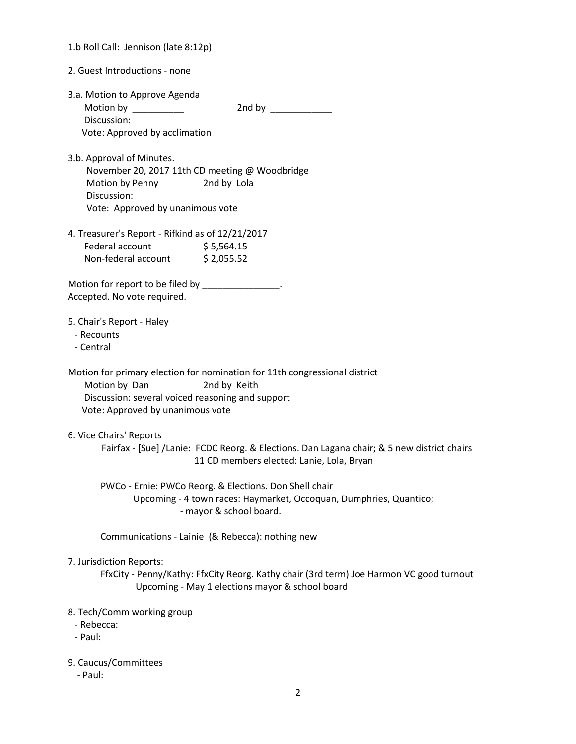| 1.b Roll Call: Jennison (late 8:12p)                                                                                                                          |                                                                                                                                                         |
|---------------------------------------------------------------------------------------------------------------------------------------------------------------|---------------------------------------------------------------------------------------------------------------------------------------------------------|
| 2. Guest Introductions - none                                                                                                                                 |                                                                                                                                                         |
| 3.a. Motion to Approve Agenda<br>Motion by __________<br>Discussion:<br>Vote: Approved by acclimation                                                         | 2nd by _____________                                                                                                                                    |
| 3.b. Approval of Minutes.<br>November 20, 2017 11th CD meeting @ Woodbridge<br>Motion by Penny 2nd by Lola<br>Discussion:<br>Vote: Approved by unanimous vote |                                                                                                                                                         |
| 4. Treasurer's Report - Rifkind as of 12/21/2017<br>Federal account<br>Non-federal account \$2,055.52                                                         | \$5,564.15                                                                                                                                              |
| Motion for report to be filed by ______________.<br>Accepted. No vote required.                                                                               |                                                                                                                                                         |
| 5. Chair's Report - Haley<br>- Recounts<br>- Central                                                                                                          |                                                                                                                                                         |
| Motion by Dan<br>Discussion: several voiced reasoning and support<br>Vote: Approved by unanimous vote                                                         | Motion for primary election for nomination for 11th congressional district<br>2nd by Keith                                                              |
| 6. Vice Chairs' Reports                                                                                                                                       | Fairfax - [Sue] /Lanie: FCDC Reorg. & Elections. Dan Lagana chair; & 5 new district chairs<br>11 CD members elected: Lanie, Lola, Bryan                 |
|                                                                                                                                                               | PWCo - Ernie: PWCo Reorg. & Elections. Don Shell chair<br>Upcoming - 4 town races: Haymarket, Occoquan, Dumphries, Quantico;<br>- mayor & school board. |
|                                                                                                                                                               | Communications - Lainie (& Rebecca): nothing new                                                                                                        |
| 7. Jurisdiction Reports:                                                                                                                                      | FfxCity - Penny/Kathy: FfxCity Reorg. Kathy chair (3rd term) Joe Harmon VC good turnout<br>Upcoming - May 1 elections mayor & school board              |
| 8. Tech/Comm working group<br>- Rebecca:<br>- Paul:                                                                                                           |                                                                                                                                                         |
| 9. Caucus/Committees<br>- Paul:                                                                                                                               |                                                                                                                                                         |